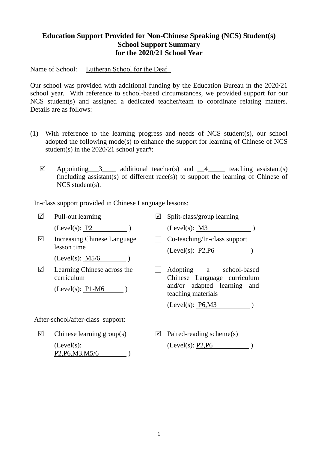## **Education Support Provided for Non-Chinese Speaking (NCS) Student(s) School Support Summary for the 2020/21 School Year**

Name of School: \_\_Lutheran School for the Deaf\_\_\_\_\_\_\_\_\_\_\_\_\_\_\_\_\_\_\_\_\_\_\_\_\_\_\_\_\_\_\_\_\_

Our school was provided with additional funding by the Education Bureau in the 2020/21 school year. With reference to school-based circumstances, we provided support for our NCS student(s) and assigned a dedicated teacher/team to coordinate relating matters. Details are as follows:

- (1) With reference to the learning progress and needs of NCS student(s), our school adopted the following mode(s) to enhance the support for learning of Chinese of NCS student(s) in the 2020/21 school year#:
	- $\boxtimes$  Appointing 3 additional teacher(s) and 4 teaching assistant(s)  $(including assistant(s)$  of different race $(s)$ ) to support the learning of Chinese of NCS student(s).

In-class support provided in Chinese Language lessons:

| ☑                                 | Pull-out learning                                                                                  | $\blacktriangledown$ | Split-class/group learning                                   |
|-----------------------------------|----------------------------------------------------------------------------------------------------|----------------------|--------------------------------------------------------------|
|                                   | (Level(s): P2)                                                                                     |                      | (Level(s): M3)                                               |
| ☑                                 | Increasing Chinese Language<br>lesson time                                                         |                      | Co-teaching/In-class support<br>(Level(s): P2, P6)           |
|                                   | (Level(s): $M5/6$                                                                                  |                      |                                                              |
| ☑                                 | Learning Chinese across the<br>curriculum                                                          |                      | Adopting<br>school-based<br>a<br>Chinese Language curriculum |
|                                   | $(Level(s): P1-M6)$                                                                                |                      | and/or adapted learning and<br>teaching materials            |
|                                   |                                                                                                    |                      | (Level(s): P6,M3)                                            |
| After-school/after-class support: |                                                                                                    |                      |                                                              |
| ☑                                 | Chinese learning group(s)                                                                          | ⊻                    | Paired-reading scheme(s)                                     |
|                                   | $(Level(s))$ :<br>P <sub>2</sub> , P <sub>6</sub> , M <sub>3</sub> , M <sub>5</sub> / <sub>6</sub> |                      | (Level(s): P2, P6)                                           |